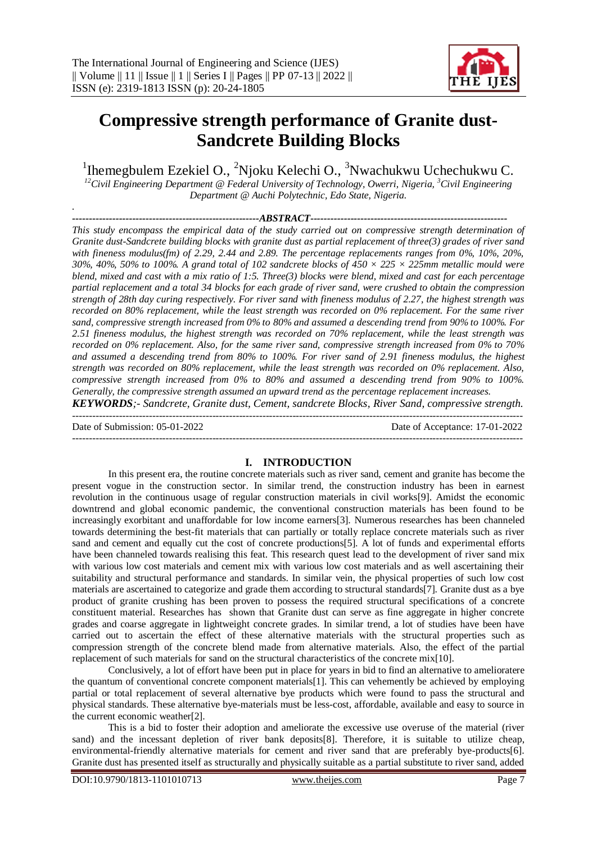

# **Compressive strength performance of Granite dust-Sandcrete Building Blocks**

<sup>1</sup>Ihemegbulem Ezekiel O., <sup>2</sup>Njoku Kelechi O., <sup>3</sup>Nwachukwu Uchechukwu C.

*<sup>12</sup>Civil Engineering Department @ Federal University of Technology, Owerri, Nigeria, <sup>3</sup>Civil Engineering Department @ Auchi Polytechnic, Edo State, Nigeria.*

*--------------------------------------------------------ABSTRACT-----------------------------------------------------------*

*This study encompass the empirical data of the study carried out on compressive strength determination of Granite dust-Sandcrete building blocks with granite dust as partial replacement of three(3) grades of river sand with fineness modulus(fm) of 2.29, 2.44 and 2.89. The percentage replacements ranges from 0%, 10%, 20%, 30%, 40%, 50% to 100%. A grand total of 102 sandcrete blocks of 450 × 225 × 225mm metallic mould were blend, mixed and cast with a mix ratio of 1:5. Three(3) blocks were blend, mixed and cast for each percentage partial replacement and a total 34 blocks for each grade of river sand, were crushed to obtain the compression strength of 28th day curing respectively. For river sand with fineness modulus of 2.27, the highest strength was recorded on 80% replacement, while the least strength was recorded on 0% replacement. For the same river sand, compressive strength increased from 0% to 80% and assumed a descending trend from 90% to 100%. For 2.51 fineness modulus, the highest strength was recorded on 70% replacement, while the least strength was recorded on 0% replacement. Also, for the same river sand, compressive strength increased from 0% to 70% and assumed a descending trend from 80% to 100%. For river sand of 2.91 fineness modulus, the highest strength was recorded on 80% replacement, while the least strength was recorded on 0% replacement. Also, compressive strength increased from 0% to 80% and assumed a descending trend from 90% to 100%. Generally, the compressive strength assumed an upward trend as the percentage replacement increases.*

*KEYWORDS;- Sandcrete, Granite dust, Cement, sandcrete Blocks, River Sand, compressive strength.*

Date of Submission: 05-01-2022 Date of Acceptance: 17-01-2022 ---------------------------------------------------------------------------------------------------------------------------------------

*.*

# **I. INTRODUCTION**

In this present era, the routine concrete materials such as river sand, cement and granite has become the present vogue in the construction sector. In similar trend, the construction industry has been in earnest revolution in the continuous usage of regular construction materials in civil works[9]. Amidst the economic downtrend and global economic pandemic, the conventional construction materials has been found to be increasingly exorbitant and unaffordable for low income earners[3]. Numerous researches has been channeled towards determining the best-fit materials that can partially or totally replace concrete materials such as river sand and cement and equally cut the cost of concrete productions [5]. A lot of funds and experimental efforts have been channeled towards realising this feat. This research quest lead to the development of river sand mix with various low cost materials and cement mix with various low cost materials and as well ascertaining their suitability and structural performance and standards. In similar vein, the physical properties of such low cost materials are ascertained to categorize and grade them according to structural standards[7]. Granite dust as a bye product of granite crushing has been proven to possess the required structural specifications of a concrete constituent material. Researches has shown that Granite dust can serve as fine aggregate in higher concrete grades and coarse aggregate in lightweight concrete grades. In similar trend, a lot of studies have been have carried out to ascertain the effect of these alternative materials with the structural properties such as compression strength of the concrete blend made from alternative materials. Also, the effect of the partial replacement of such materials for sand on the structural characteristics of the concrete mix[10].

Conclusively, a lot of effort have been put in place for years in bid to find an alternative to amelioratere the quantum of conventional concrete component materials[1]. This can vehemently be achieved by employing partial or total replacement of several alternative bye products which were found to pass the structural and physical standards. These alternative bye-materials must be less-cost, affordable, available and easy to source in the current economic weather[2].

This is a bid to foster their adoption and ameliorate the excessive use overuse of the material (river sand) and the incessant depletion of river bank deposits[8]. Therefore, it is suitable to utilize cheap, environmental-friendly alternative materials for cement and river sand that are preferably bye-products[6]. Granite dust has presented itself as structurally and physically suitable as a partial substitute to river sand, added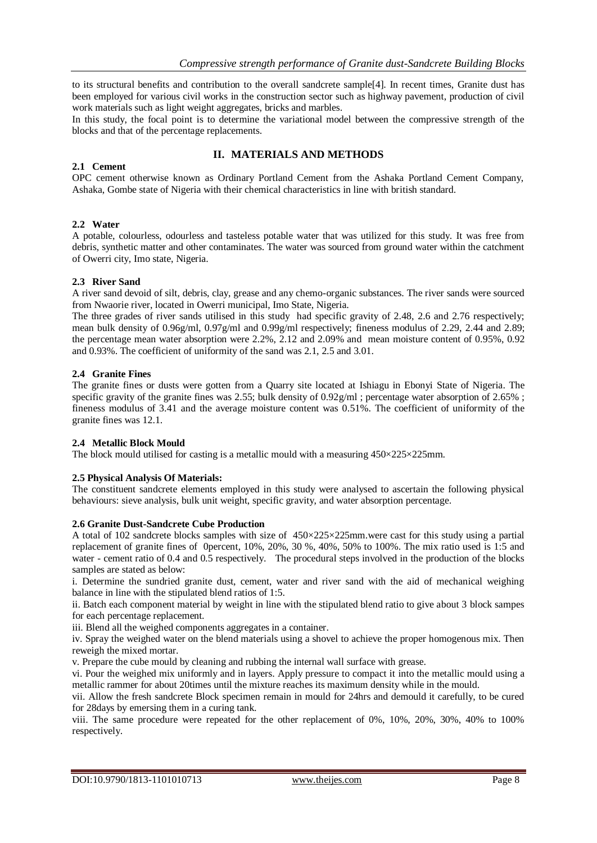to its structural benefits and contribution to the overall sandcrete sample[4]. In recent times, Granite dust has been employed for various civil works in the construction sector such as highway pavement, production of civil work materials such as light weight aggregates, bricks and marbles.

In this study, the focal point is to determine the variational model between the compressive strength of the blocks and that of the percentage replacements.

# **II. MATERIALS AND METHODS**

# **2.1 Cement**

OPC cement otherwise known as Ordinary Portland Cement from the Ashaka Portland Cement Company, Ashaka, Gombe state of Nigeria with their chemical characteristics in line with british standard.

## **2.2 Water**

A potable, colourless, odourless and tasteless potable water that was utilized for this study. It was free from debris, synthetic matter and other contaminates. The water was sourced from ground water within the catchment of Owerri city, Imo state, Nigeria.

## **2.3 River Sand**

A river sand devoid of silt, debris, clay, grease and any chemo-organic substances. The river sands were sourced from Nwaorie river, located in Owerri municipal, Imo State, Nigeria.

The three grades of river sands utilised in this study had specific gravity of 2.48, 2.6 and 2.76 respectively; mean bulk density of 0.96g/ml, 0.97g/ml and 0.99g/ml respectively; fineness modulus of 2.29, 2.44 and 2.89; the percentage mean water absorption were 2.2%, 2.12 and 2.09% and mean moisture content of 0.95%, 0.92 and 0.93%. The coefficient of uniformity of the sand was 2.1, 2.5 and 3.01.

## **2.4 Granite Fines**

The granite fines or dusts were gotten from a Quarry site located at Ishiagu in Ebonyi State of Nigeria. The specific gravity of the granite fines was 2.55; bulk density of 0.92g/ml ; percentage water absorption of 2.65% ; fineness modulus of 3.41 and the average moisture content was 0.51%. The coefficient of uniformity of the granite fines was 12.1.

## **2.4 Metallic Block Mould**

The block mould utilised for casting is a metallic mould with a measuring  $450\times225\times225$ mm.

# **2.5 Physical Analysis Of Materials:**

The constituent sandcrete elements employed in this study were analysed to ascertain the following physical behaviours: sieve analysis, bulk unit weight, specific gravity, and water absorption percentage.

### **2.6 Granite Dust-Sandcrete Cube Production**

A total of 102 sandcrete blocks samples with size of  $450 \times 225 \times 225$  mm. were cast for this study using a partial replacement of granite fines of 0percent, 10%, 20%, 30 %, 40%, 50% to 100%. The mix ratio used is 1:5 and water - cement ratio of 0.4 and 0.5 respectively. The procedural steps involved in the production of the blocks samples are stated as below:

i. Determine the sundried granite dust, cement, water and river sand with the aid of mechanical weighing balance in line with the stipulated blend ratios of 1:5.

ii. Batch each component material by weight in line with the stipulated blend ratio to give about 3 block sampes for each percentage replacement.

iii. Blend all the weighed components aggregates in a container.

iv. Spray the weighed water on the blend materials using a shovel to achieve the proper homogenous mix. Then reweigh the mixed mortar.

v. Prepare the cube mould by cleaning and rubbing the internal wall surface with grease.

vi. Pour the weighed mix uniformly and in layers. Apply pressure to compact it into the metallic mould using a metallic rammer for about 20times until the mixture reaches its maximum density while in the mould.

vii. Allow the fresh sandcrete Block specimen remain in mould for 24hrs and demould it carefully, to be cured for 28days by emersing them in a curing tank.

viii. The same procedure were repeated for the other replacement of 0%, 10%, 20%, 30%, 40% to 100% respectively.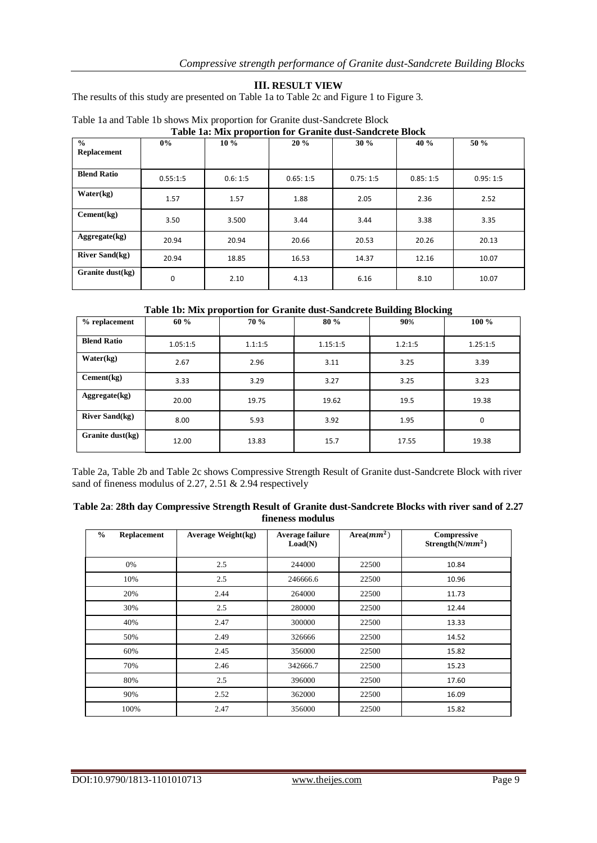# **III. RESULT VIEW**

The results of this study are presented on Table 1a to Table 2c and Figure 1 to Figure 3.

| Table Ta, Riiz proportion for Gramic aust-bandereic Diock |             |         |          |          |          |          |
|-----------------------------------------------------------|-------------|---------|----------|----------|----------|----------|
| $\frac{0}{0}$<br>Replacement                              | $0\%$       | $10\%$  | 20%      | 30%      | 40 %     | 50 %     |
|                                                           |             |         |          |          |          |          |
| <b>Blend Ratio</b>                                        | 0.55:1:5    | 0.6:1:5 | 0.65:1:5 | 0.75:1:5 | 0.85:1:5 | 0.95:1:5 |
| Water(kg)                                                 | 1.57        | 1.57    | 1.88     | 2.05     | 2.36     | 2.52     |
| Cement(kg)                                                | 3.50        | 3.500   | 3.44     | 3.44     | 3.38     | 3.35     |
| Aggregate(kg)                                             | 20.94       | 20.94   | 20.66    | 20.53    | 20.26    | 20.13    |
| <b>River Sand(kg)</b>                                     | 20.94       | 18.85   | 16.53    | 14.37    | 12.16    | 10.07    |
| Granite dust $(kg)$                                       | $\mathbf 0$ | 2.10    | 4.13     | 6.16     | 8.10     | 10.07    |

#### Table 1a and Table 1b shows Mix proportion for Granite dust-Sandcrete Block **Table 1a: Mix proportion for Granite dust-Sandcrete Block**

# **Table 1b: Mix proportion for Granite dust-Sandcrete Building Blocking**

| $%$ replacement       | 60 %     | 70 %    | 80 %     | 90%     | $100\%$     |
|-----------------------|----------|---------|----------|---------|-------------|
| <b>Blend Ratio</b>    | 1.05:1:5 | 1.1:1:5 | 1.15:1:5 | 1.2:1:5 | 1.25:1:5    |
| Water(kg)             | 2.67     | 2.96    | 3.11     | 3.25    | 3.39        |
| Cement(kg)            | 3.33     | 3.29    | 3.27     | 3.25    | 3.23        |
| Aggregate(kg)         | 20.00    | 19.75   | 19.62    | 19.5    | 19.38       |
| <b>River Sand(kg)</b> | 8.00     | 5.93    | 3.92     | 1.95    | $\mathbf 0$ |
| Granite dust(kg)      | 12.00    | 13.83   | 15.7     | 17.55   | 19.38       |

Table 2a, Table 2b and Table 2c shows Compressive Strength Result of Granite dust-Sandcrete Block with river sand of fineness modulus of 2.27, 2.51 & 2.94 respectively

| Table 2a: 28th day Compressive Strength Result of Granite dust-Sandcrete Blocks with river sand of 2.27 |
|---------------------------------------------------------------------------------------------------------|
| fineness modulus                                                                                        |

| $\frac{0}{0}$<br>Replacement | <b>Average Weight(kg)</b> | Average failure<br>Load(N) | Area $(mm^2)$ | Compressive<br>Strength( $N/mm^2$ ) |
|------------------------------|---------------------------|----------------------------|---------------|-------------------------------------|
| 0%                           | 2.5                       | 244000                     | 22500         | 10.84                               |
| 10%                          | 2.5                       | 246666.6                   | 22500         | 10.96                               |
| 20%                          | 2.44                      | 264000                     | 22500         | 11.73                               |
| 30%                          | 2.5                       | 280000                     | 22500         | 12.44                               |
| 40%                          | 2.47                      | 300000                     | 22500         | 13.33                               |
| 50%                          | 2.49                      | 326666                     | 22500         | 14.52                               |
| 60%                          | 2.45                      | 356000                     | 22500         | 15.82                               |
| 70%                          | 2.46                      | 342666.7                   | 22500         | 15.23                               |
| 80%                          | 2.5                       | 396000                     | 22500         | 17.60                               |
| 90%                          | 2.52                      | 362000                     | 22500         | 16.09                               |
| 100%                         | 2.47                      | 356000                     | 22500         | 15.82                               |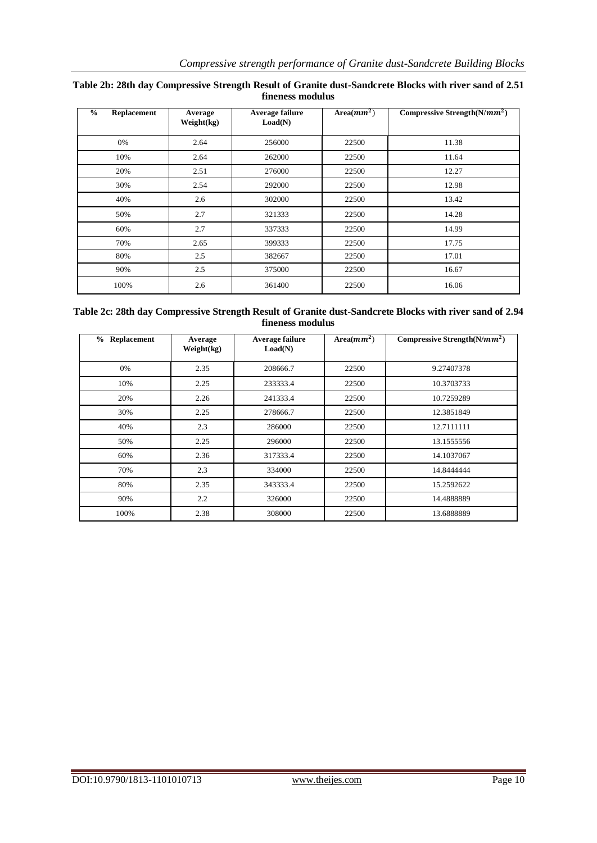| $\frac{0}{0}$<br>Replacement | Average<br>Weight(kg) | Average failure<br>Load(N) | Area $(mm^2)$ | Compressive Strength( $N/mm^2$ ) |
|------------------------------|-----------------------|----------------------------|---------------|----------------------------------|
| 0%                           | 2.64                  | 256000                     | 22500         | 11.38                            |
| 10%                          | 2.64                  | 262000                     | 22500         | 11.64                            |
| 20%                          | 2.51                  | 276000                     | 22500         | 12.27                            |
| 30%                          | 2.54                  | 292000                     | 22500         | 12.98                            |
| 40%                          | 2.6                   | 302000                     | 22500         | 13.42                            |
| 50%                          | 2.7                   | 321333                     | 22500         | 14.28                            |
| 60%                          | 2.7                   | 337333                     | 22500         | 14.99                            |
| 70%                          | 2.65                  | 399333                     | 22500         | 17.75                            |
| 80%                          | 2.5                   | 382667                     | 22500         | 17.01                            |
| 90%                          | 2.5                   | 375000                     | 22500         | 16.67                            |
| 100%                         | 2.6                   | 361400                     | 22500         | 16.06                            |

# **Table 2b: 28th day Compressive Strength Result of Granite dust-Sandcrete Blocks with river sand of 2.51 fineness modulus**

# **Table 2c: 28th day Compressive Strength Result of Granite dust-Sandcrete Blocks with river sand of 2.94 fineness modulus**

| % Replacement | Average<br>Weight(kg) | Average failure<br>Load(N) | Area $(mm^2)$ | Compressive Strength $(N/mm^2)$ |
|---------------|-----------------------|----------------------------|---------------|---------------------------------|
| 0%            | 2.35                  | 208666.7                   | 22500         | 9.27407378                      |
| 10%           | 2.25                  | 233333.4                   | 22500         | 10.3703733                      |
| 20%           | 2.26                  | 241333.4                   | 22500         | 10.7259289                      |
| 30%           | 2.25                  | 278666.7                   | 22500         | 12.3851849                      |
| 40%           | 2.3                   | 286000                     | 22500         | 12.7111111                      |
| 50%           | 2.25                  | 296000                     | 22500         | 13.1555556                      |
| 60%           | 2.36                  | 317333.4                   | 22500         | 14.1037067                      |
| 70%           | 2.3                   | 334000                     | 22500         | 14.8444444                      |
| 80%           | 2.35                  | 343333.4                   | 22500         | 15.2592622                      |
| 90%           | $2.2\,$               | 326000                     | 22500         | 14.4888889                      |
| 100%          | 2.38                  | 308000                     | 22500         | 13.6888889                      |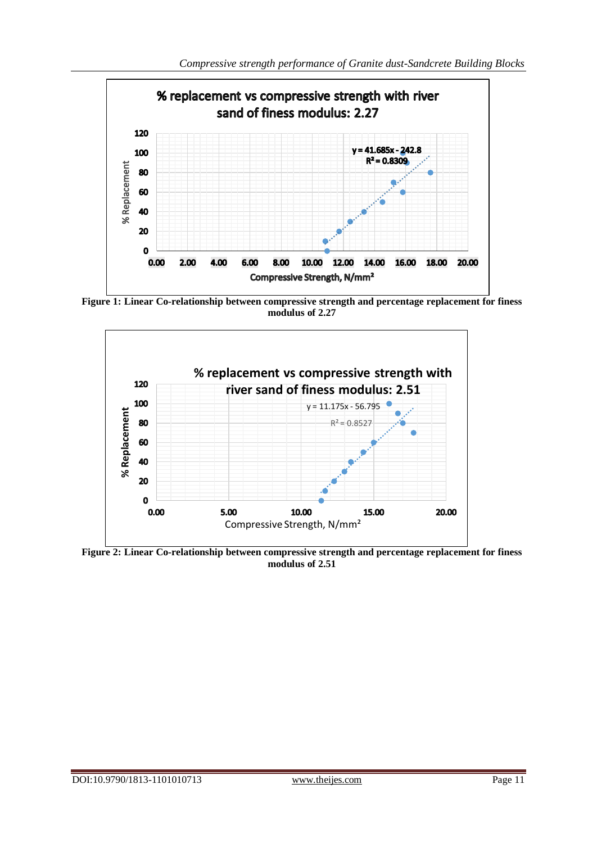

**Figure 1: Linear Co-relationship between compressive strength and percentage replacement for finess modulus of 2.27**



**Figure 2: Linear Co-relationship between compressive strength and percentage replacement for finess modulus of 2.51**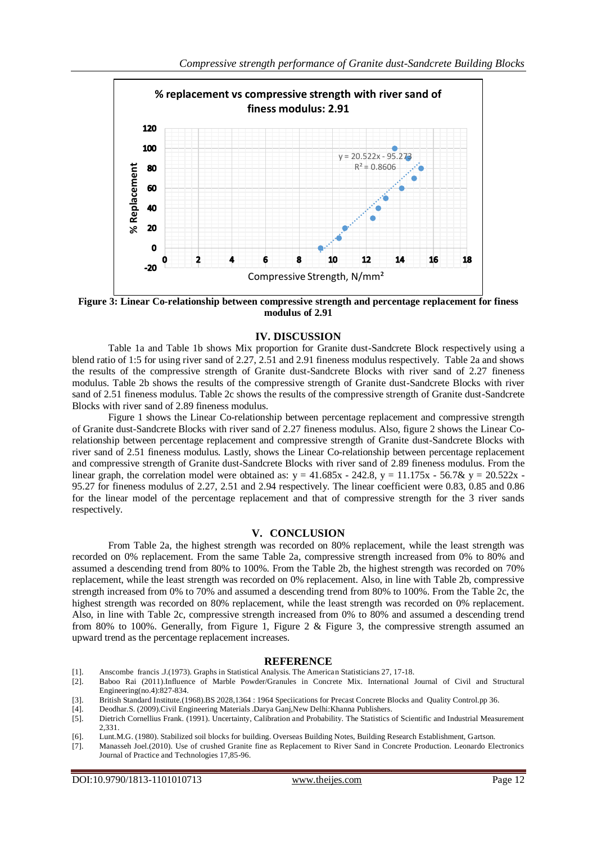

**Figure 3: Linear Co-relationship between compressive strength and percentage replacement for finess modulus of 2.91**

## **IV. DISCUSSION**

Table 1a and Table 1b shows Mix proportion for Granite dust-Sandcrete Block respectively using a blend ratio of 1:5 for using river sand of 2.27, 2.51 and 2.91 fineness modulus respectively. Table 2a and shows the results of the compressive strength of Granite dust-Sandcrete Blocks with river sand of 2.27 fineness modulus. Table 2b shows the results of the compressive strength of Granite dust-Sandcrete Blocks with river sand of 2.51 fineness modulus. Table 2c shows the results of the compressive strength of Granite dust-Sandcrete Blocks with river sand of 2.89 fineness modulus.

Figure 1 shows the Linear Co-relationship between percentage replacement and compressive strength of Granite dust-Sandcrete Blocks with river sand of 2.27 fineness modulus. Also, figure 2 shows the Linear Corelationship between percentage replacement and compressive strength of Granite dust-Sandcrete Blocks with river sand of 2.51 fineness modulus. Lastly, shows the Linear Co-relationship between percentage replacement and compressive strength of Granite dust-Sandcrete Blocks with river sand of 2.89 fineness modulus. From the linear graph, the correlation model were obtained as:  $y = 41.685x - 242.8$ ,  $y = 11.175x - 56.7& y = 20.522x - 16.52x$ 95.27 for fineness modulus of 2.27, 2.51 and 2.94 respectively. The linear coefficient were 0.83, 0.85 and 0.86 for the linear model of the percentage replacement and that of compressive strength for the 3 river sands respectively.

## **V. CONCLUSION**

From Table 2a, the highest strength was recorded on 80% replacement, while the least strength was recorded on 0% replacement. From the same Table 2a, compressive strength increased from 0% to 80% and assumed a descending trend from 80% to 100%. From the Table 2b, the highest strength was recorded on 70% replacement, while the least strength was recorded on 0% replacement. Also, in line with Table 2b, compressive strength increased from 0% to 70% and assumed a descending trend from 80% to 100%. From the Table 2c, the highest strength was recorded on 80% replacement, while the least strength was recorded on 0% replacement. Also, in line with Table 2c, compressive strength increased from 0% to 80% and assumed a descending trend from 80% to 100%. Generally, from Figure 1, Figure 2 & Figure 3, the compressive strength assumed an upward trend as the percentage replacement increases.

## **REFERENCE**

- [1]. Anscombe francis .J.(1973). Graphs in Statistical Analysis. The American Statisticians 27, 17-18.
- [2]. Baboo Rai (2011).Influence of Marble Powder/Granules in Concrete Mix. International Journal of Civil and Structural Engineering(no.4):827-834.
- [3]. British Standard Institute.(1968).BS 2028,1364 : 1964 Speciications for Precast Concrete Blocks and Quality Control.pp 36.
- [4]. Deodhar.S. (2009).Civil Engineering Materials .Darya Ganj,New Delhi:Khanna Publishers.
- [5]. Dietrich Cornellius Frank. (1991). Uncertainty, Calibration and Probability. The Statistics of Scientific and Industrial Measurement 2,331.
- [6]. Lunt.M.G. (1980). Stabilized soil blocks for building. Overseas Building Notes, Building Research Establishment, Gartson.
- [7]. Manasseh Joel.(2010). Use of crushed Granite fine as Replacement to River Sand in Concrete Production. Leonardo Electronics Journal of Practice and Technologies 17,85-96.